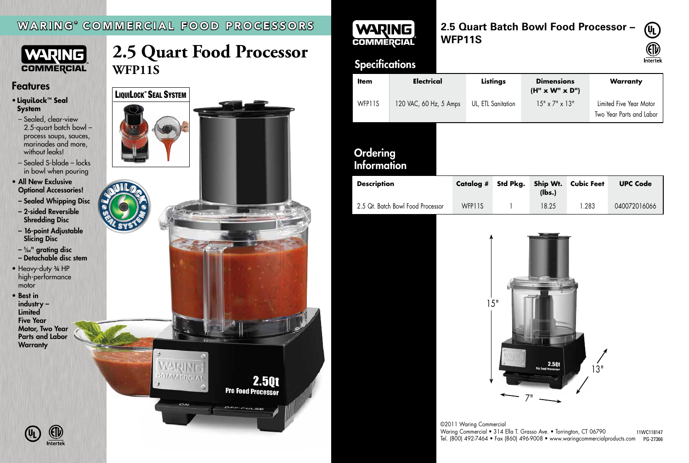## WARING ® COMMERCIAL FOOD PROCESSORS



- Sealed, clear-view 2.5-quart batch bowl – process soups, sauces, marinades and more, without leaks!
- Sealed S-blade locks in bowl when pouring
- All New Exclusive Optional Accessories!
- Sealed Whipping Disc
- 2-sided Reversible Shredding Disc
- 16-point Adjustable Slicing Disc
- 5 ⁄64" grating disc
- Detachable disc stem
- Heavy-duty 3/4 HP high-performance motor
- • Best in industry – **Limited** Five Year Motor, Two Year Parts and Labor **Warranty**

# **2.5 Quart Food Processor WFP11S**

### Features

### • **LiquiLock™ Seal System**

| <b>Item</b>                           | <b>Electrical</b>      |                  | Listings           | <b>Dimensions</b><br>$(H'' \times W'' \times D'')$ |                            | <b>Warranty</b>                                     |
|---------------------------------------|------------------------|------------------|--------------------|----------------------------------------------------|----------------------------|-----------------------------------------------------|
| WFP11S                                | 120 VAC, 60 Hz, 5 Amps |                  | UL, ETL Sanitation |                                                    | $15" \times 7" \times 13"$ | Limited Five Year Motor<br>Two Year Parts and Labor |
| <b>Ordering</b><br><b>Information</b> |                        |                  |                    |                                                    |                            |                                                     |
| <b>Description</b>                    |                        | <b>Catalog #</b> | Std Pkg.           | Ship Wt.<br>(lbs.)                                 | <b>Cubic Feet</b>          | <b>UPC Code</b>                                     |
| 2.5 Qt. Batch Bowl Food Processor     |                        | WFP11S           |                    | 18.25                                              | 1.283                      | 040072016066                                        |

### ©2011 Waring Commercial Waring Commercial • 314 Ella T. Grasso Ave. • Torrington, CT 06790



### **2.5 Quart Batch Bowl Food Processor – WFP11S**

# **Specifications**







# WARING